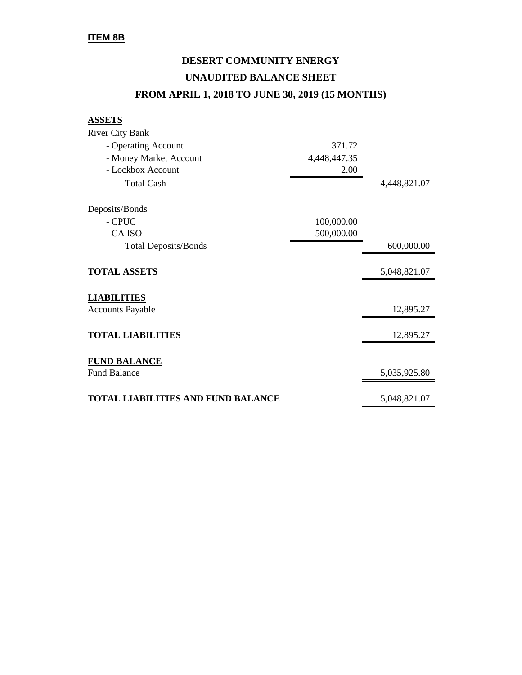## **DESERT COMMUNITY ENERGY UNAUDITED BALANCE SHEET FROM APRIL 1, 2018 TO JUNE 30, 2019 (15 MONTHS)**

**ASSETS**

| <b>River City Bank</b>                    |              |              |
|-------------------------------------------|--------------|--------------|
| - Operating Account                       | 371.72       |              |
| - Money Market Account                    | 4,448,447.35 |              |
| - Lockbox Account                         | 2.00         |              |
| <b>Total Cash</b>                         |              | 4,448,821.07 |
| Deposits/Bonds                            |              |              |
| - CPUC                                    | 100,000.00   |              |
| - CA ISO                                  | 500,000.00   |              |
| <b>Total Deposits/Bonds</b>               |              | 600,000.00   |
| <b>TOTAL ASSETS</b>                       |              | 5,048,821.07 |
| <b>LIABILITIES</b>                        |              |              |
| <b>Accounts Payable</b>                   |              | 12,895.27    |
| <b>TOTAL LIABILITIES</b>                  |              | 12,895.27    |
| <b>FUND BALANCE</b>                       |              |              |
| <b>Fund Balance</b>                       |              | 5,035,925.80 |
| <b>TOTAL LIABILITIES AND FUND BALANCE</b> |              | 5,048,821.07 |